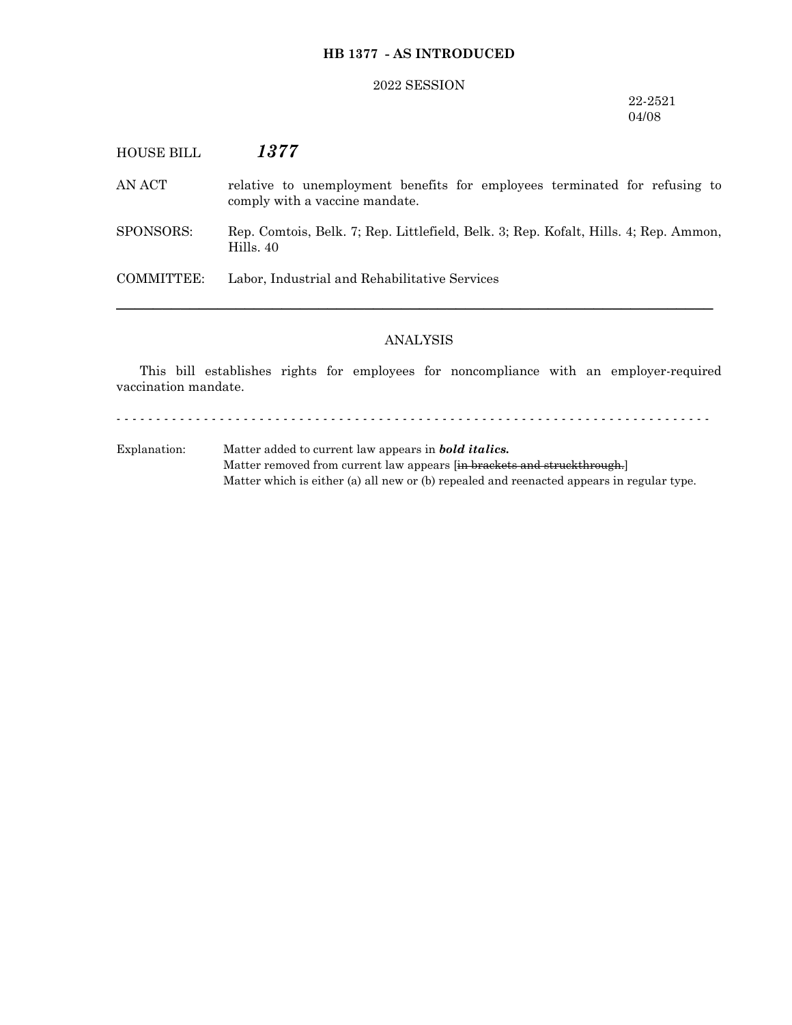## **HB 1377 - AS INTRODUCED**

#### 2022 SESSION

### 22-2521 04/08

# HOUSE BILL *1377*

AN ACT relative to unemployment benefits for employees terminated for refusing to comply with a vaccine mandate.

SPONSORS: Rep. Comtois, Belk. 7; Rep. Littlefield, Belk. 3; Rep. Kofalt, Hills. 4; Rep. Ammon, Hills. 40

COMMITTEE: Labor, Industrial and Rehabilitative Services

#### ANALYSIS

─────────────────────────────────────────────────────────────────

This bill establishes rights for employees for noncompliance with an employer-required vaccination mandate.

- - - - - - - - - - - - - - - - - - - - - - - - - - - - - - - - - - - - - - - - - - - - - - - - - - - - - - - - - - - - - - - - - - - - - - - - - - -

Explanation: Matter added to current law appears in *bold italics.* Matter removed from current law appears [in brackets and struckthrough.] Matter which is either (a) all new or (b) repealed and reenacted appears in regular type.